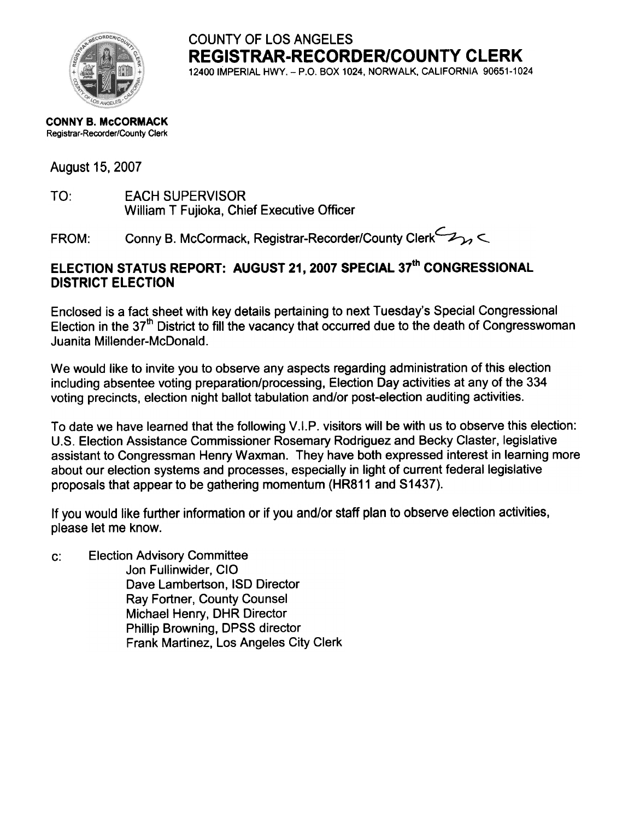

COUNTY OF LOS ANGELES **REGISTRAR-RECORDER/COUNTY CLERK** 12400 IMPERIAL HWY. - P.O. BOX 1024, NORWALK, CALIFORNIA 90651-1024

#### CONNY B. McCORMACK Registrar-Recorder/County Clerk

#### August 15. 2007

TO: **EACH SUPERVISOR** William T Fujioka, Chief Executive Officer

Conny B. McCormack, Registrar-Recorder/County Clerk 2 FROM:

#### ELECTION STATUS REPORT: AUGUST 21, 2007 SPECIAL 37th CONGRESSIONAL **DISTRICT ELECTION**

Enclosed is a fact sheet with key details pertaining to next Tuesday's Special Congressional Election in the 37<sup>th</sup> District to fill the vacancy that occurred due to the death of Congresswoman Juanita Millender-McDonald.

We would like to invite you to observe any aspects regarding administration of this election including absentee voting preparation/processing, Election Day activities at any of the 334 voting precincts, election night ballot tabulation and/or post-election auditing activities.

To date we have learned that the following V.I.P. visitors will be with us to observe this election: U.S. Election Assistance Commissioner Rosemary Rodriguez and Becky Claster, legislative assistant to Congressman Henry Waxman. They have both expressed interest in learning more about our election systems and processes, especially in light of current federal legislative proposals that appear to be gathering momentum (HR811 and S1437).

If you would like further information or if you and/or staff plan to observe election activities, please let me know.

c:Election Advisory Committee Jon Fullinwider, CIO Dave Lambertson, ISO Director Ray Fortner, County Counsel Michael Henry, DHR Director Phillip Browning, DPSS director Frank Martinez, Los Angeles City Clerk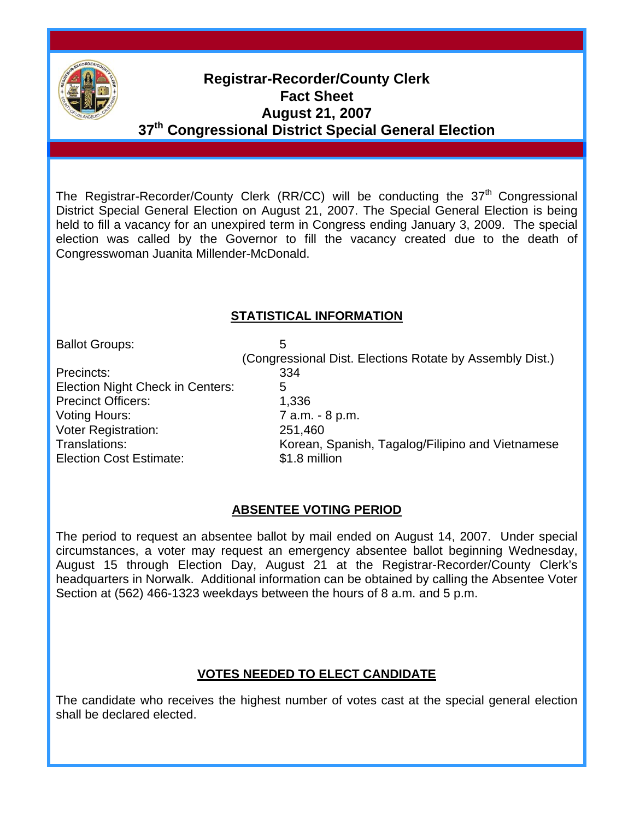

## **Registrar-Recorder/County Clerk Fact Sheet August 21, 2007 37th Congressional District Special General Election**

The Registrar-Recorder/County Clerk (RR/CC) will be conducting the 37<sup>th</sup> Congressional District Special General Election on August 21, 2007. The Special General Election is being held to fill a vacancy for an unexpired term in Congress ending January 3, 2009. The special election was called by the Governor to fill the vacancy created due to the death of Congresswoman Juanita Millender-McDonald.

#### **STATISTICAL INFORMATION**

Ballot Groups: 5

Precincts: 334 Election Night Check in Centers: 5 Precinct Officers: 1,336 Voting Hours:  $\overline{7}$  a.m. - 8 p.m. Voter Registration: 251,460 Election Cost Estimate: \$1.8 million

 (Congressional Dist. Elections Rotate by Assembly Dist.) Translations: Korean, Spanish, Tagalog/Filipino and Vietnamese

#### **ABSENTEE VOTING PERIOD**

The period to request an absentee ballot by mail ended on August 14, 2007. Under special circumstances, a voter may request an emergency absentee ballot beginning Wednesday, August 15 through Election Day, August 21 at the Registrar-Recorder/County Clerk's headquarters in Norwalk. Additional information can be obtained by calling the Absentee Voter Section at (562) 466-1323 weekdays between the hours of 8 a.m. and 5 p.m.

#### **VOTES NEEDED TO ELECT CANDIDATE**

The candidate who receives the highest number of votes cast at the special general election shall be declared elected.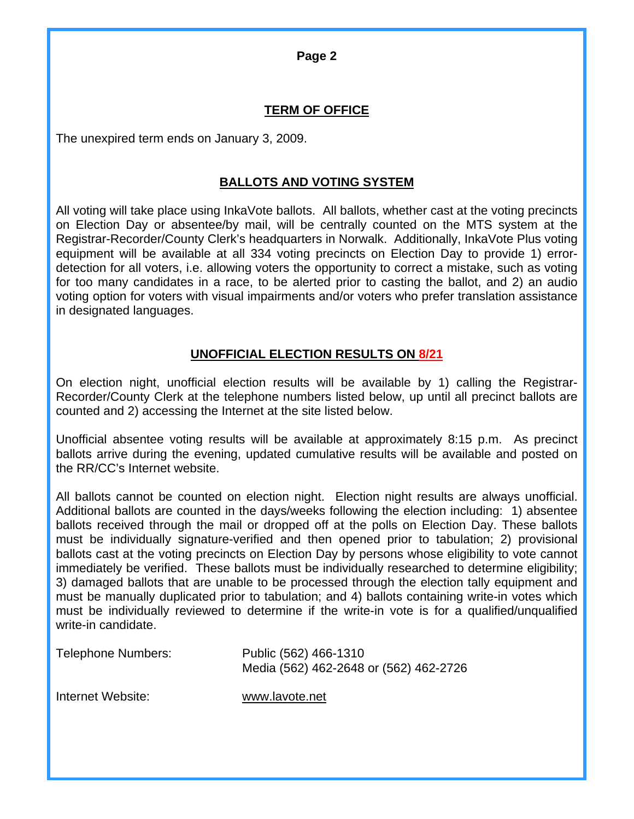**Page 2** 

#### **TERM OF OFFICE**

The unexpired term ends on January 3, 2009.

#### **BALLOTS AND VOTING SYSTEM**

All voting will take place using InkaVote ballots. All ballots, whether cast at the voting precincts on Election Day or absentee/by mail, will be centrally counted on the MTS system at the Registrar-Recorder/County Clerk's headquarters in Norwalk. Additionally, InkaVote Plus voting equipment will be available at all 334 voting precincts on Election Day to provide 1) errordetection for all voters, i.e. allowing voters the opportunity to correct a mistake, such as voting for too many candidates in a race, to be alerted prior to casting the ballot, and 2) an audio voting option for voters with visual impairments and/or voters who prefer translation assistance in designated languages.

#### **UNOFFICIAL ELECTION RESULTS ON 8/21**

On election night, unofficial election results will be available by 1) calling the Registrar-Recorder/County Clerk at the telephone numbers listed below, up until all precinct ballots are counted and 2) accessing the Internet at the site listed below.

Unofficial absentee voting results will be available at approximately 8:15 p.m. As precinct ballots arrive during the evening, updated cumulative results will be available and posted on the RR/CC's Internet website.

All ballots cannot be counted on election night. Election night results are always unofficial. Additional ballots are counted in the days/weeks following the election including: 1) absentee ballots received through the mail or dropped off at the polls on Election Day. These ballots must be individually signature-verified and then opened prior to tabulation; 2) provisional ballots cast at the voting precincts on Election Day by persons whose eligibility to vote cannot immediately be verified. These ballots must be individually researched to determine eligibility; 3) damaged ballots that are unable to be processed through the election tally equipment and must be manually duplicated prior to tabulation; and 4) ballots containing write-in votes which must be individually reviewed to determine if the write-in vote is for a qualified/unqualified write-in candidate.

| <b>Telephone Numbers:</b> | Public (562) 466-1310                  |
|---------------------------|----------------------------------------|
|                           | Media (562) 462-2648 or (562) 462-2726 |

Internet Website: [www.lavote.net](http://www.lavote.net/)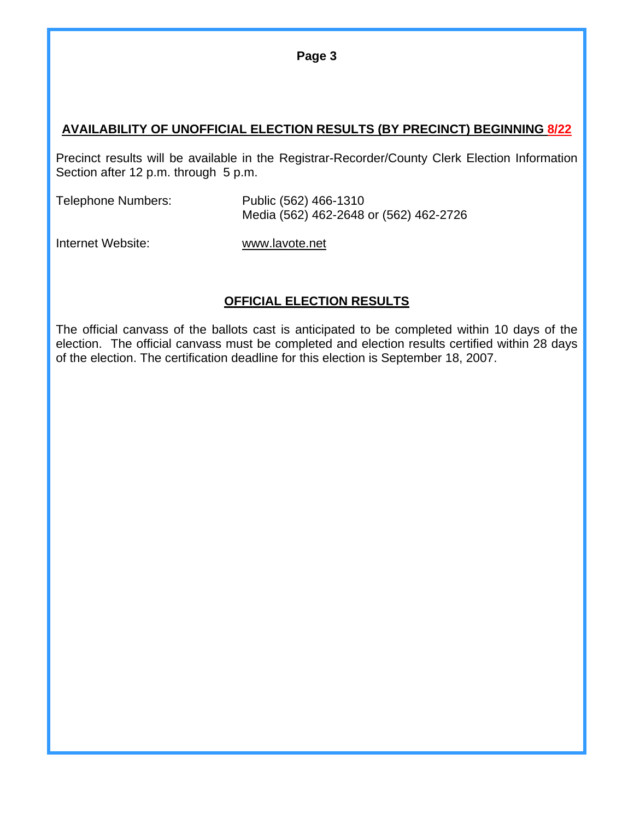**Page 3** 

#### **AVAILABILITY OF UNOFFICIAL ELECTION RESULTS (BY PRECINCT) BEGINNING 8/22**

Precinct results will be available in the Registrar-Recorder/County Clerk Election Information Section after 12 p.m. through 5 p.m.

| Telephone Numbers: | Public (562) 466-1310<br>Media (562) 462-2648 or (562) 462-2726 |
|--------------------|-----------------------------------------------------------------|
|                    |                                                                 |

Internet Website: [www.lavote.net](http://www.lavote.net/)

#### **OFFICIAL ELECTION RESULTS**

The official canvass of the ballots cast is anticipated to be completed within 10 days of the election. The official canvass must be completed and election results certified within 28 days of the election. The certification deadline for this election is September 18, 2007.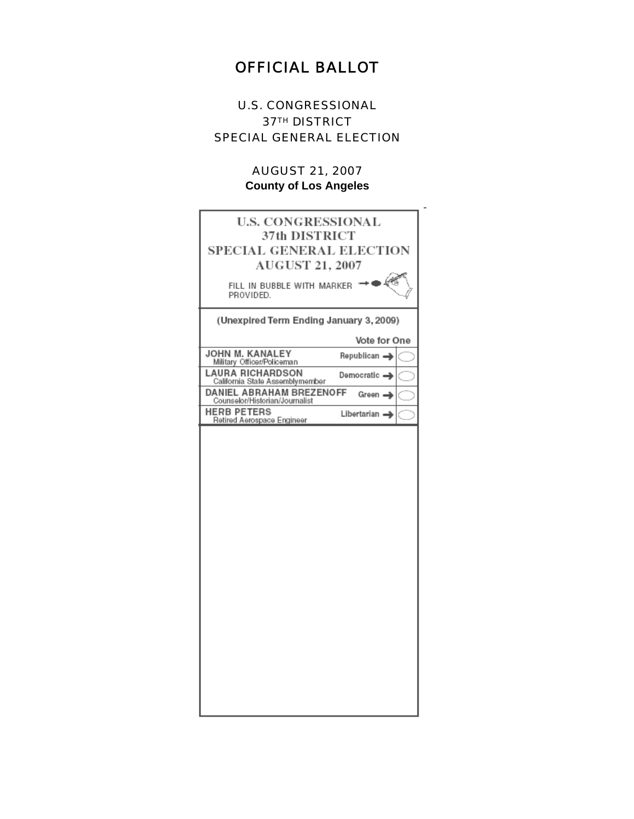## OFFICIAL BALLOT

#### U.S. CONGRESSIONAL **37TH DISTRICT** SPECIAL GENERAL ELECTION

#### AUGUST 21, 2007 **County of Los Angeles**